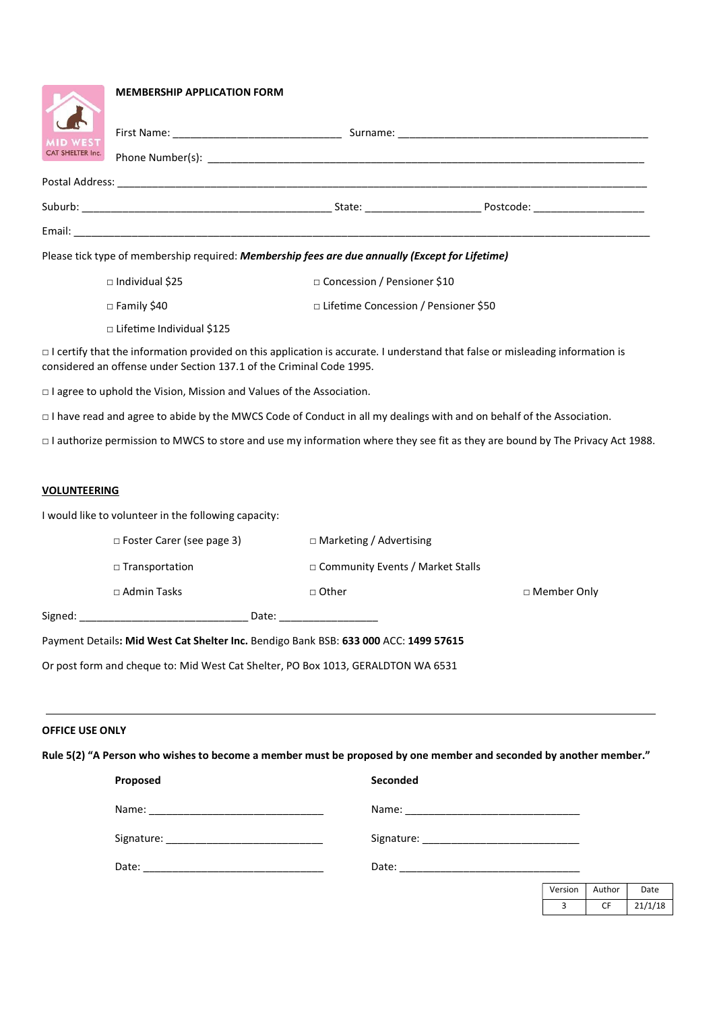|                                                                                                                                      | <b>MEMBERSHIP APPLICATION FORM</b>                                                              |                                        |  |  |  |  |
|--------------------------------------------------------------------------------------------------------------------------------------|-------------------------------------------------------------------------------------------------|----------------------------------------|--|--|--|--|
| <b>MID WEST</b><br>CAT SHELTER Inc.                                                                                                  |                                                                                                 |                                        |  |  |  |  |
|                                                                                                                                      |                                                                                                 |                                        |  |  |  |  |
|                                                                                                                                      |                                                                                                 |                                        |  |  |  |  |
|                                                                                                                                      |                                                                                                 |                                        |  |  |  |  |
|                                                                                                                                      | Please tick type of membership required: Membership fees are due annually (Except for Lifetime) |                                        |  |  |  |  |
|                                                                                                                                      | $\Box$ Individual \$25                                                                          | □ Concession / Pensioner \$10          |  |  |  |  |
|                                                                                                                                      | $\Box$ Family \$40                                                                              | □ Lifetime Concession / Pensioner \$50 |  |  |  |  |
|                                                                                                                                      | $\Box$ Lifetime Individual \$125                                                                |                                        |  |  |  |  |
| $\Box$ I certify that the information provided on this application is accurate. I understand that false or misleading information is |                                                                                                 |                                        |  |  |  |  |

□ I agree to uphold the Vision, Mission and Values of the Association.

considered an offense under Section 137.1 of the Criminal Code 1995.

□ I have read and agree to abide by the MWCS Code of Conduct in all my dealings with and on behalf of the Association.

□ I authorize permission to MWCS to store and use my information where they see fit as they are bound by The Privacy Act 1988.

### VOLUNTEERING

Signed: \_\_\_\_\_\_\_\_\_\_\_\_\_\_\_\_\_\_\_\_\_\_\_\_\_\_\_\_\_ Date: \_\_\_\_\_\_\_\_\_\_\_\_\_\_\_\_\_

I would like to volunteer in the following capacity:

| $\Box$ Foster Carer (see page 3) | □ Marketing / Advertising          |                    |  |
|----------------------------------|------------------------------------|--------------------|--|
| $\Box$ Transportation            | □ Community Events / Market Stalls |                    |  |
| $\Box$ Admin Tasks               | $\Box$ Other                       | $\Box$ Member Only |  |
| Date:                            |                                    |                    |  |

Payment Details: Mid West Cat Shelter Inc. Bendigo Bank BSB: 633 000 ACC: 1499 57615

Or post form and cheque to: Mid West Cat Shelter, PO Box 1013, GERALDTON WA 6531

### OFFICE USE ONLY

Rule 5(2) "A Person who wishes to become a member must be proposed by one member and seconded by another member."

| Proposed | Seconded |
|----------|----------|
|          |          |
|          |          |
|          |          |

| Version | Author | Date    |
|---------|--------|---------|
|         |        | 21/1/18 |